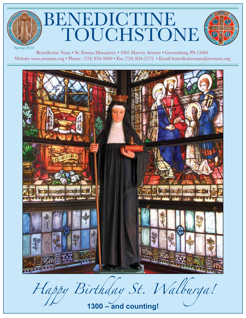# BENEDICTINE TOUCHSTONE



Spring 2010

Benedictine Nuns • St. Emma Monastery • 1001 Harvey Avenue • Greensburg, PA 15601 Website www.stemma.org • Phone: (724) 834-3060 • Fax (724) 834-5772 • Email benedictinenuns@stemma.org



*Happy Birthday St. Walburga!*

**1300 – and counting!**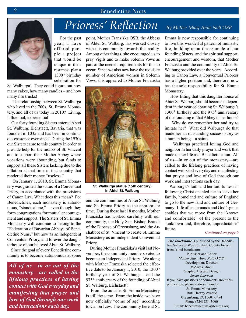

 For the past year, I have offered people a project that would be unique in their resumes: plan a 1300th birthday celebration for

St. Walburga! They could figure out how many cakes, how many candles – and how many fire trucks!

 The relationship between St. Walburga who lived in the 700s, St. Emma Monastery, and all of us today in 2010? Living, influential, experiential!

 Our forty founding Sisters entered Abtei St. Walburg, Eichstaett, Bavaria, that was founded in 1035 and has been in continuous existence ever since! During the 1930s our Sisters came to this country in order to provide help for the monks of St. Vincent and to support their Mother Abbey where vocations were abounding, but funds to support all these Sisters lacking due to the inflation at that time in that country that rendered their money "useless."

 On January 1, 2010, St. Emma Monastery was granted the status of a Conventual Priory, in accordance with the provisions of Canon Law. What does this mean? For Benedictines, each monastery is autonomous, "stands alone," – even though they form congregations for mutual encouragement and support. The Sisters of St. Emma Monastery will continue to belong to the "Federation of Bavarian Abbeys of Benedictine Nuns," but now as an independent Conventual Priory, and forever the daughterhouse of our beloved Abtei St. Walburg.

 Since the goal of every Benedictine community is to become autonomous at some

*All of us—in or out of the monastery—are called to the lifelong practices of having contact with God everyday and manifesting that prayer and love of God through our work and interactions each day.* 

point, Mother Franziska OSB, the Abbess of Abtei St. Walburg, has worked closely with this community towards this reality. Among other things, she encouraged us to pray Vigils and to make Solemn Vows as part of the needed requirements for this to occur. Since we also now have the requisite number of American women in Solemn Vows, this appeared to Mother Franziska



**St. Walburga statue (15th century) in Abtei St. Walburg**

and the communities of Abtei St. Walburg and St. Emma Priory as the appropriate time. During these last 18 months, Mother Franziska has worked carefully with our community, the Holy See, Bishop Brandt of the Diocese of Greensburg, and the Archabbot of St. Vincent to create St. Emma Monastery as an independent Conventual Priory.

 During Mother Franziska's visit last November, the community members voted to become an Independent Priory. We along with Mother Franziska selected the effective date to be January 1,  $2010$ , the 1300<sup>th</sup> birthday year of St. Walburga – and the 975<sup>th</sup> anniversary of the founding of Abtei St. Walburg, Eichstaett!

 From the outside, St. Emma Monastery is still the same. From the inside, we have now officially "come of age" according to Canon Law. The community here at St.

## *Prioress' Reflection By Mother Mary Anne Noll OSB*

Emma is now responsible for continuing to live this wonderful pattern of monastic life, building upon the example of our founding Sisters, and the spiritual support, encouragement and wisdom, that Mother Franziska and the community of Abtei St. Walburg provided over the years. According to Canon Law, a Conventual Prioress has a higher position and, therefore, now has the sole responsibility for St. Emma Monastery.

 How fitting that this daughter house of Abtei St. Walburg should become independent in the year celebrating St. Walburga's 1300<sup>th</sup> birthday and the 975<sup>th</sup> anniversary of the founding of that Abbey in her honor!

 Why do we remember her and try to imitate her? What did Walburga do that made her an outstanding success story as a human being—a saint?

 Walburga practiced loving God and neighbor in her daily prayer and work that made up her life as a Benedictine nun. All of us—in or out of the monastery—are called to the lifelong practices of having contact with God everyday and manifesting that prayer and love of God through our work and interactions each day.

 Walburga's faith and her faithfulness in following Christ enabled her to leave her family, homeland and culture of England to go to the new land and culture of Germany. Life often demands and God's grace enables that we move from the "known and comfortable" of the present to the "unknown and, therefore, unpredictable" future.

#### *Continued on page 6*

 *The Touchstone* is published by the Benedictine Sisters of Westmoreland County for our friends and benefactors: Publisher and Editor *Mother Mary Anne Noll, O.S.B.* Development Director *Robert J. Allen* Graphic Arts and Design *Susan Garrison* If you have questions or comments about this publication, please address them to: St. Emma Monastery 1001 Harvey Avenue Greensburg, PA 15601-1494 Phone (724) 834-3060 Email: benedictinenuns@stemma.org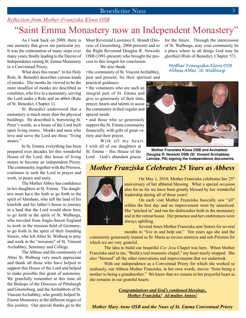## *Reflection from Mother Franziska Kloos OSB*

## "Saint Emma Monastery now an Independent Monastery"

As I look back on 2009, there is one memory that gives me particular joy. It was the culmination of many steps over many years, finally leading to the Decree of Independence raising St. Emma Monastery to a Conventual Priory.

What does this mean? In his Holy Rule, St. Benedict describes various kinds of monks. The monks he viewed to be the most steadfast of monks are described as cenobites, who live in a monastery, serving the Lord under a Rule and an abbot (Rule of St. Benedict, Chapter 1).

St. Benedict understood that a monastery is much more than the physical buildings. He described it, borrowing St. Peter's words, as a house of the Lord built upon living stones. Monks and nuns who love and serve the Lord are those "living stones."

In St. Emma, everything has been prepared over decades for this wonderful House of the Lord, this house of living stones to become an independent Priory. The community, together with the Prioress, continues to seek the Lord in prayer and work, in peace and unity.

The Mother Abbey has confidence in her daughters at St. Emma. The daughters must have the faith to go forth in the spirit of Abraham, who left the land of his kinsfolk and his father's house to journey in a land that the Lord would show him; to go forth in the spirit of St. Walburga, who traveled from Anglo-Saxon England to work in the mission field of Germany; to go forth in the spirit of their founding Sisters, who left Abtei St. Walburg to pray and work in the "missions" of St. Vincent Archabbey, Seminary and College.

The Abbess and the community of Abtei St. Walburg very much appreciate and thank all those who have helped to support this House of the Lord and helped to make possible this grant of autonomy. We gratefully remember at this time all the Bishops of the Dioceses of Pittsburgh and Greensburg, and the Archabbots of St. Vincent Archabbey, who greatly helped St. Emma Monastery at the different stages of this journey. Our special thanks go to the Most Reverend Lawrence E. Brandt (Diocese of Greensburg, 2004-present) and to the Right Reverend Douglas R. Nowicki OSB (1991-present) who brought the process to this longed-for conclusion.

We also thank:

• the community of St. Vincent Archabbey, past and present, for their spiritual and practical guidance;

• the volunteers who are such an integral part of St. Emma and give so generously of their time, prayer, hearts and talents to assist the community in their regular and special needs

• and those who so generously support the St. Emma community financially, with gifts of great variety and their prayer.

With all my heart, I wish all of our daughters at St. Emma – this House of the Lord – God's abundant graces

for the future. Through the intercession of St. Walburga, may your community be a place where in all things God may be glorified (Rule of Benedict, Chapter 57).

 *Mother Franziska Kloos OSB Abbess Abtei St. Walburg*



 **Mother Franziska Kloos OSB and Archabbot Douglas R. Nowicki OSB (St. Vincent Archabbey, Latrobe, PA) signing the Independence documents.** 

## *Mother Franziska Celebrates 25 Years as Abbess*



On May 1, 2010, Mother Franziska celebrates her 25<sup>th</sup> anniversary of her abbatial blessing. What a special occasion also for us for we have been greatly blessed by her wonderful leadership during all of these years!

On each visit Mother Franziska basically saw "all" within the first day and no improvement went by unnoticed. She "pitched in" and ran the dishwasher both in the monastery and in the retreat house. Her presence and her conferences were always uplifting.

Several times Mother Franziska sent Sisters for several

months to "live in and help out." Ten years ago she and the community generously loaned us Sr. Maria as novice-mistress and sub-Prioress for which we are very grateful.

The idea to build our beautiful *Cor Jesu* Chapel was hers. When Mother Franziska said to me, "Build a real monastic chapel," my heart nearly stopped. She also "blessed" all the other renovations and improvements that we undertook.

With our independence as a Conventual Priory for which she worked so zealously, our Abbess Mother Franziska, in her own words, moves "from being a mother to being a grandmother." We know that we remain in her prayerful heart as she remains in our grateful hearts.

> *Congratulations and God's continued blessings, Mother Franziska! Ad multos Annos!*

*Mother Mary Anne OSB and the Nuns of St. Emma Conventual Priory*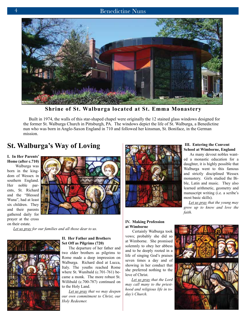

**Shrine of St. Walburga located at St. Emma Monastery**

 Built in 1974, the walls of this star-shaped chapel were originally the 12 stained glass windows designed for the former St. Walburga Church in Pittsburgh, PA. The windows depict the life of St. Walburga, a Benedictine nun who was born in Anglo-Saxon England in 710 and followed her kinsman, St. Boniface, in the German mission.

## **St. Walburga's Way of Loving**

**I. In Her Parents' Home (after c.710)**

 Walburga was born in the kingdom of Wessex in southern England. Her noble parents, St. Richard and the "Blessed Wuna", had at least six children. They and their parents gathered daily for prayer at the cross on their estate.



*Let us pray for our families and all those dear to us.*



#### **II. Her Father and Brothers Set Off as Pilgrims (720)**

 The departure of her father and two elder brothers as pilgrims to Rome made a deep impression on Walburga. Richard died at Lucca, Italy. The youths reached Rome where St. Wunibald (c.701-761) became a monk. The more robust St. Willibald (c.700-787) continued on to the Holy Land.

 *Let us pray that we may deepen our own commitment to Christ, our Holy Redeemer.*



#### **III. Entering the Convent School at Wimborne, England**

 As many devout nobles wanted a monastic education for a daughter, it is highly possible that Walburga went to this famous and strictly disciplined Wessex monastery. Girls studied the Bible, Latin and music. They also learned arithmetic, geometry and manuscript writing (i.e. a scribe's most basic skills).

 *Let us pray that the young may grow up to know and love the faith.*

#### **IV. Making Profession at Wimborne**

 Certainly Walburga took vows; probably she did so at Wimborne. She promised solemnly to obey her abbess and to be deeply rooted in a life of singing God's praises seven times a day and of showing in her conduct that she preferred nothing to the love of Christ.

 *Let us pray that the Lord may call many to the priesthood and religious life in today's Church.*

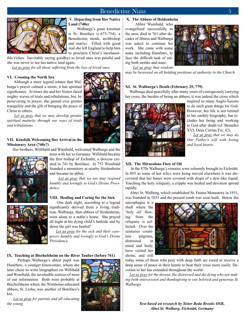

#### **V. Departing from Her Native Land (740s)**

 Walburga's great kinsman is St. Boniface (c.675-754), a Benedictine monk, archbishop and martyr. Filled with good zeal she left England to help him to proclaim Christ's inexhaust-

ible riches. Inevitably saying goodbye to loved ones was painful and she was never to see her native land again.

 *Let us pray for all those suffering from the loss of loved ones.*

#### **VI. Crossing the North Sea**

 Although a mere legend relates that Walburga's prayer calmed a storm, it has spiritual significance. At times she and her Sisters faced mighty waves of trials and tribulations, but, by persevering in prayer, she gained ever greater tranquility and the gift of bringing the peace of Christ to others.

 *Let us pray that we may develop greater spiritual maturity through our ways of trials and tribulations.*

#### **VII. Kinsfolk Welcoming Her Arrival in the Missionary Area (740s?)**

Her brothers, Willibald and Wunibald, welcomed Walburga and the



nuns with her to Germany. Willibald became the first bishop of Eichstätt, a diocese created in 741 by Boniface. In 752 Wunibald founded a monastery at nearby Heidenheim and became its abbot.

 *Let us pray that we too may respond humbly and lovingly to God's Divine Providence.*

#### **VIII. Healing and Caring for the Sick**

 One dark night, according to a legend significantly derived from a living tradition, Walburga, then abbess of Heidenheim, went alone to a noble's home. She prayed all night at his dying child's bedside and by dawn the girl was healed!

 *Let us pray for the sick and their caregivers humbly and lovingly to God's Divine Providence.*

**IX. Teaching at Bischofsheim on the River Tauber (before 761)**

 Perhaps Walburga's ablest pupil was Huneberc, a younger kinswoman, whom she later chose to write biographies on Willibald and Wunibald, the invaluable sources of most of our information. Both were probably at Bischofsheim where the Wimborne-educated abbess, St. Lioba, was another of Boniface's kin.

 *Let us pray for parents and all educating the young.*



#### **X. The Abbess of Heidenheim**

 Abbot Wunibald, who evangelized successfully in the area, died in 761 after decades of illness and Walburga was asked to continue his work. She came with some nuns, including Huneberc, to face the difficult task of ruling both monks and nuns.



 *Let us pray that wisdom* 

*may be bestowed on all holding positions of authority in the Church.*

#### **XI. St. Walburga's Death (February 25, 779)**

 Walburga died peacefully after many years of courageously carrying her cross, the burden of being an abbess; it was indeed the cross which



inspired so many Anglo-Saxons to do such great things for God. However, her life is not limited to her earthly biography, but includes her being and working in God after death (cf. Benedict XVI, Deus Caritas Est, 42).

 *Let us pray that we may do Our Father's will with loving and loyal hearts.*

#### **XII. The Miraculous Flow of Oil**

 In the 870s Walburga's remains were solemnly brought to Eichstätt. In 893 as some of her relics were being moved elsewhere it was discovered that her bones were covered with drops of a dew-like liquid. Touching the holy reliquary, a cripple was healed and devotion spread rapidly.

 Abtei St. Walburg, which established St. Emma Monastery in 1931, was founded in 1035 and the present tomb was soon built. Below the

sarcophagus is a shaft where the 'holy oil' flowing from the reliquary is collected. Over the centuries countless pilgrims, distressed in mind and body, have visited her shrine, and still



today some of those who pray with deep faith are cured or receive a deep sense of peace in their hearts to bear their cross more easily. Devotion to her has extended throughout the world.

 *Let us pray for the devout, the distressed and the dying who are making both intercession and thanksgiving to our beloved and generous St. Walburga.*

> *Text based on research by Sister Beda Brooks OSB, Abtei St. Walburg, Eichstätt, Germany*

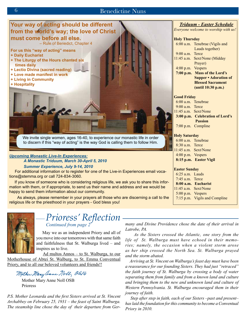

## *Prioress' Reflection Continued from page 2*

May we as an independent Priory and all of

you move into our tomorrows with that same faith and faithfulness that St. Walburga lived – and inspires us to live.

 Ad multos Annos – to St. Walburga, to our Motherhouse of Abtei St. Walburg, to St. Emma Conventual Priory, and to all our beloved volunteers and friends!!

Mother Mery anne Noll, OSB

Mother Mary Anne Noll OSB Prioress

*P.S. Mother Leonarda and the first Sisters arrived at St. Vincent Archabbey on February 25, 1931 – the feast of Saint Walburga. The steamship line chose the day of their departure from Ger-* *many and Divine Providence chose the date of their arrival in Latrobe, PA.* 

 *As the Sisters crossed the Atlantic, one story from the life of St. Walburga must have echoed in their memories; namely, the occasion when a violent storm arose as her ship crossed the North Sea. St. Walburga prayed and the storm abated.* 

 *Arriving at St. Vincent on Walburga's feast day must have been a reassurance for our founding Sisters. They had just "retraced" the faith journey of St. Walburga by crossing a body of water separating them from family and from a known land and culture and bringing them to the new and unknown land and culture of Western Pennsylvania. St. Walburga encouraged them in their journey of faith.* 

 *Step after step in faith, each of our Sisters –past and present– has laid the foundation for this community to become a Conventual Priory in 2010.*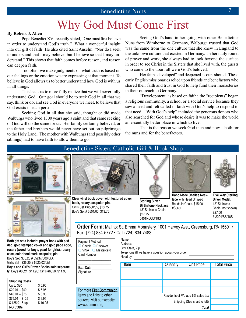## Why God Must Come First

#### **By Robert J. Allen**

Pope Benedict XVI recently stated, "One must first believe in order to understand God's truth." What a wonderful insight into our gift of faith! He also cited Saint Anselm: "Nor do I seek to understand that I may believe, but I believe so that I may understand." This shows that faith comes before reason, and reason can deepen faith.

Too often we make judgments on what truth is based on our feelings or the emotion we are expressing at that moment. To believe in God allows us to better understand how God is with us in all things.

This leads us to more fully realize that we will never fully understand God. Our goal should be to seek God in all that we say, think or do, and see God in everyone we meet, to believe that God exists in each person.

Seeking God in all that she said, thought or did made Walburga who lived 1300 years ago a saint and that same seeking of God will do the same for us. Her family certainly believed, or the father and brothers would never have set out on pilgrimage to the Holy Land. The mother with Walburga (and possibly other siblings) had to have faith to allow them to go.

Seeing God's hand in her going with other Benedictine Nuns from Wimborne to Germany, Walburga trusted that God was the same from the one culture that she knew in England to the unknown culture that existed in Germany. In her daily round of prayer and work, she always had to look beyond the surface in order to see Christ in the Sisters that she lived with, the guests who came to the door: all were God's beloved.

Her faith "developed" and deepened as ours should. These early English missionaries relied upon friends and benefactors who shared their faith and trust in God to help fund their monasteries in their outreach to Germany.

"Development" is based on faith: the "recipients" began a religious community, a school or a social service because they saw a need and felt called in faith with God's help to respond to that need. "With God's help" included the generous donors who also searched for God and whose desire it was to make the world an essentially better place in which to live.

That is the reason we seek God then and now—both for the nuns and for the benefactors.

#### Benedictine Sisters Catholic Gift & Book Shop My First<br>Communion Set **Hand Made Chalice Neck-**My Fiest **Clear vinyl book cover with textured cover Silver Medal**, **lace** with Heart Shaped .<br>Na **Sterling Silver book, rosary, scapular, pin.** Beads in Chain. \$15.00 18" Stainless **Birthstone Necklace**. Girl's Set # 6500/05, \$13.75 #S869 18" Stainless Chain. Boy's Set # 6501/05, \$13.75 \$27.00 \$27.75 5401ROSS/18S **Order Form:** Mail to: St. Emma Monastery, 1001 Harvey Ave., Greensburg, PA 15601 • Fax: (724) 834-5772 • Call (724) 834-7483 Name **Both gift sets include: prayer book with pad-**Payment M Address **ded, gold stamped cover and gold page edge,**   $\Box$  Check City, State, Zip **rosary (wood for boys, pearl for girls), rosary**   $\n **UISA**\n$ Telephone (If we have a question about your order.) **case, color bookmark, scapular, pin.** Card Num Need by: Boy's Set \$36.25 # 6521/7000/GB; \_\_\_\_\_\_\_\_\_\_\_\_\_\_\_\_\_\_\_\_ Girl's Set \$36.25 # 6520/02/GB \_\_\_\_\_\_\_\_\_\_\_\_\_\_\_\_\_\_\_\_ Item  $\vert$  Quantity  $\vert$  Unit Price  $\vert$  Total Price **Boy's and Girl's Prayer Books sold separate-**Exp. Date

**ly**, Boy's #6521, \$11.95; Girl's #6520, \$11.95

| <b>Shipping Costs</b><br>Up to \$20<br>$$20.01 - $40$<br>$$40.01 - $75$<br>$$75.01 - $125$<br>\$125.01 & up | \$5.95<br>\$6.95<br>\$8.95<br>\$9.95<br>\$10.95 | For more <b>Eirst Commu</b><br>items and links to other<br>sources, visit our webs<br>www.stemma.org |
|-------------------------------------------------------------------------------------------------------------|-------------------------------------------------|------------------------------------------------------------------------------------------------------|
| <b>NO CODS</b>                                                                                              |                                                 |                                                                                                      |

**Five Way Sterling**  Chain (not shown) #:2004/SS/18S

| <b>Payment Method</b><br>$\Box$ Check $\Box$ Discover<br>$\Box$ VISA $\Box$ Mastercard<br>Card Number | <b>Nalle</b><br>Address<br>City, State, Zip<br>Telephone (If we have a question about your order.)<br>Need by: |                                                                                   |                   |             |  |
|-------------------------------------------------------------------------------------------------------|----------------------------------------------------------------------------------------------------------------|-----------------------------------------------------------------------------------|-------------------|-------------|--|
| Exp. Date<br>Signature                                                                                | Item                                                                                                           | Quantity                                                                          | <b>Unit Price</b> | Total Price |  |
| For more First Communion<br>items and links to other<br>sources, visit our website<br>www.stemma.org  |                                                                                                                | Residents of PA, add 6% sales tax<br>Shipping (See chart to left)<br><b>Total</b> |                   |             |  |